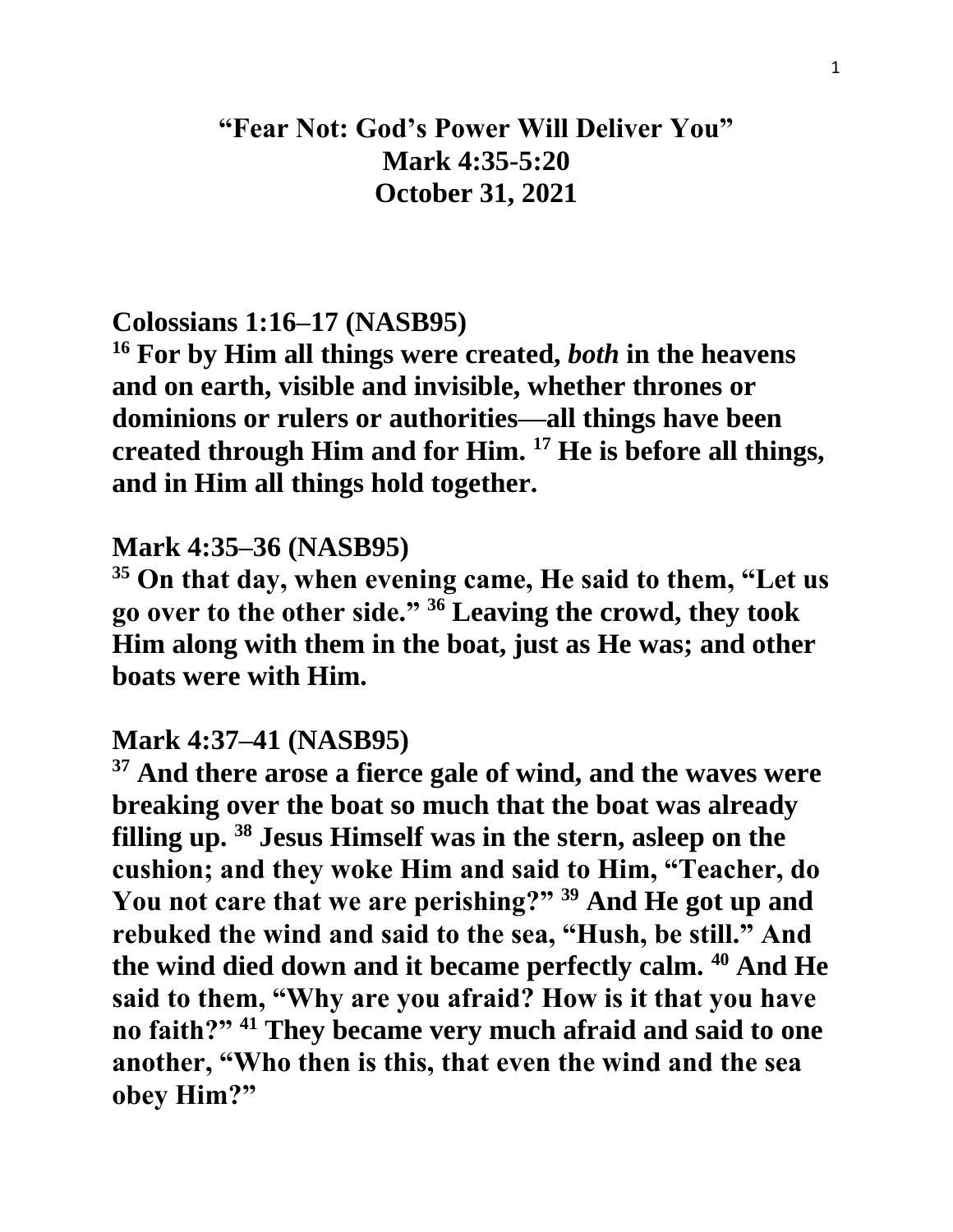# **"Fear Not: God's Power Will Deliver You" Mark 4:35-5:20 October 31, 2021**

## **Colossians 1:16–17 (NASB95)**

**<sup>16</sup> For by Him all things were created,** *both* **in the heavens and on earth, visible and invisible, whether thrones or dominions or rulers or authorities—all things have been created through Him and for Him. <sup>17</sup> He is before all things, and in Him all things hold together.** 

### **Mark 4:35–36 (NASB95)**

**<sup>35</sup> On that day, when evening came, He said to them, "Let us go over to the other side." <sup>36</sup> Leaving the crowd, they took Him along with them in the boat, just as He was; and other boats were with Him.** 

### **Mark 4:37–41 (NASB95)**

**<sup>37</sup> And there arose a fierce gale of wind, and the waves were breaking over the boat so much that the boat was already filling up. <sup>38</sup> Jesus Himself was in the stern, asleep on the cushion; and they woke Him and said to Him, "Teacher, do You not care that we are perishing?" <sup>39</sup> And He got up and rebuked the wind and said to the sea, "Hush, be still." And the wind died down and it became perfectly calm. <sup>40</sup> And He said to them, "Why are you afraid? How is it that you have no faith?" <sup>41</sup> They became very much afraid and said to one another, "Who then is this, that even the wind and the sea obey Him?"**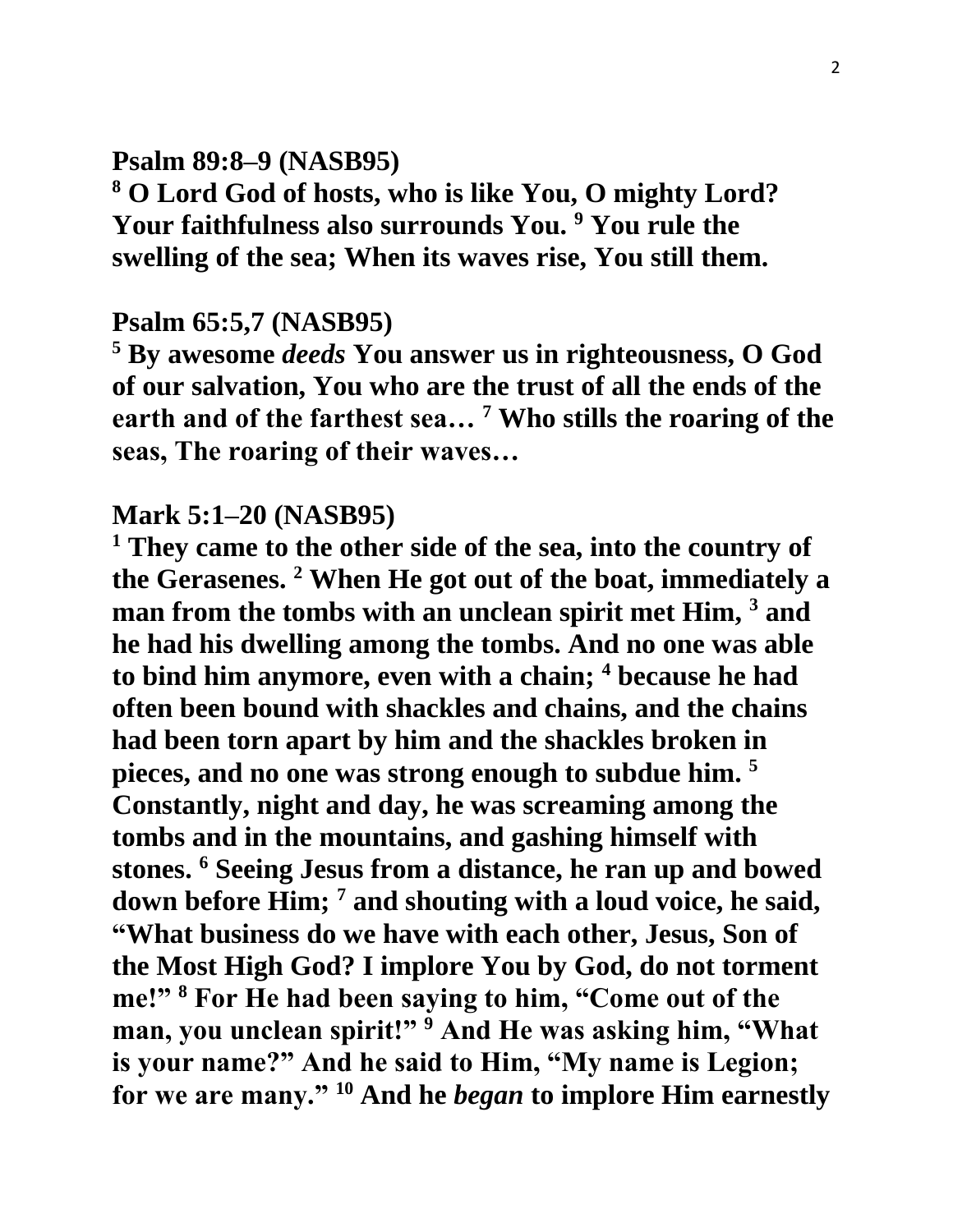# **Psalm 89:8–9 (NASB95)**

**<sup>8</sup> O Lord God of hosts, who is like You, O mighty Lord? Your faithfulness also surrounds You. <sup>9</sup> You rule the swelling of the sea; When its waves rise, You still them.** 

#### **Psalm 65:5,7 (NASB95)**

**<sup>5</sup> By awesome** *deeds* **You answer us in righteousness, O God of our salvation, You who are the trust of all the ends of the earth and of the farthest sea… <sup>7</sup> Who stills the roaring of the seas, The roaring of their waves…** 

#### **Mark 5:1–20 (NASB95)**

**<sup>1</sup> They came to the other side of the sea, into the country of the Gerasenes. <sup>2</sup> When He got out of the boat, immediately a man from the tombs with an unclean spirit met Him, <sup>3</sup> and he had his dwelling among the tombs. And no one was able to bind him anymore, even with a chain; <sup>4</sup> because he had often been bound with shackles and chains, and the chains had been torn apart by him and the shackles broken in pieces, and no one was strong enough to subdue him. <sup>5</sup> Constantly, night and day, he was screaming among the tombs and in the mountains, and gashing himself with stones. <sup>6</sup> Seeing Jesus from a distance, he ran up and bowed down before Him; <sup>7</sup> and shouting with a loud voice, he said, "What business do we have with each other, Jesus, Son of the Most High God? I implore You by God, do not torment me!" <sup>8</sup> For He had been saying to him, "Come out of the man, you unclean spirit!" <sup>9</sup> And He was asking him, "What is your name?" And he said to Him, "My name is Legion; for we are many." <sup>10</sup> And he** *began* **to implore Him earnestly**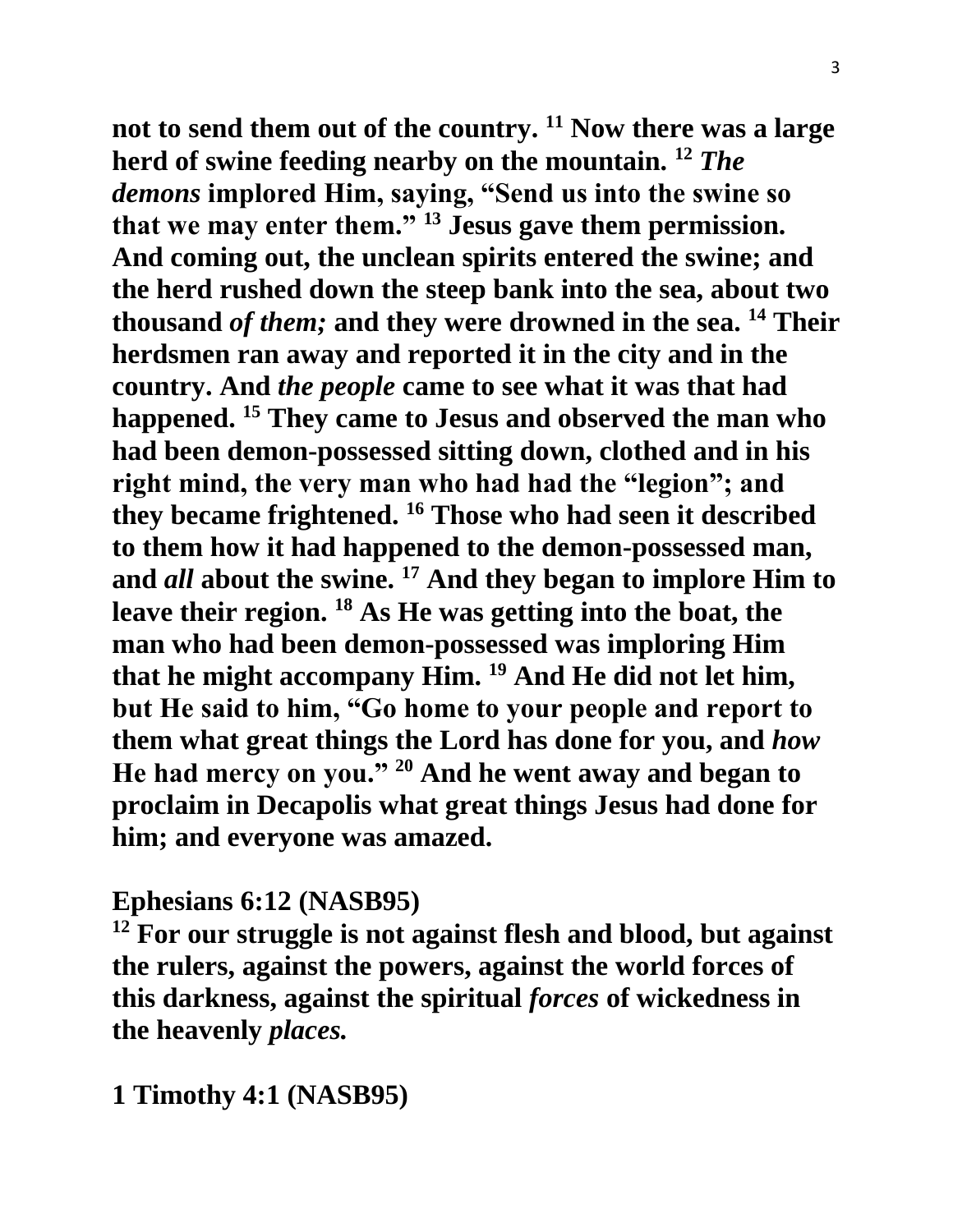**not to send them out of the country. <sup>11</sup> Now there was a large herd of swine feeding nearby on the mountain. <sup>12</sup>** *The demons* **implored Him, saying, "Send us into the swine so that we may enter them." <sup>13</sup> Jesus gave them permission. And coming out, the unclean spirits entered the swine; and the herd rushed down the steep bank into the sea, about two thousand** *of them;* **and they were drowned in the sea. <sup>14</sup> Their herdsmen ran away and reported it in the city and in the country. And** *the people* **came to see what it was that had happened. <sup>15</sup> They came to Jesus and observed the man who had been demon-possessed sitting down, clothed and in his right mind, the very man who had had the "legion"; and they became frightened. <sup>16</sup> Those who had seen it described to them how it had happened to the demon-possessed man, and** *all* **about the swine. <sup>17</sup> And they began to implore Him to leave their region. <sup>18</sup> As He was getting into the boat, the man who had been demon-possessed was imploring Him that he might accompany Him. <sup>19</sup> And He did not let him, but He said to him, "Go home to your people and report to them what great things the Lord has done for you, and** *how* **He had mercy on you." <sup>20</sup> And he went away and began to proclaim in Decapolis what great things Jesus had done for him; and everyone was amazed.**

# **Ephesians 6:12 (NASB95)**

**<sup>12</sup> For our struggle is not against flesh and blood, but against the rulers, against the powers, against the world forces of this darkness, against the spiritual** *forces* **of wickedness in the heavenly** *places.*

**1 Timothy 4:1 (NASB95)**